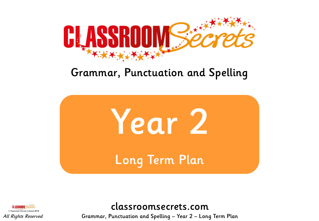

# Grammar, Punctuation and Spelling





classroomsecrets.com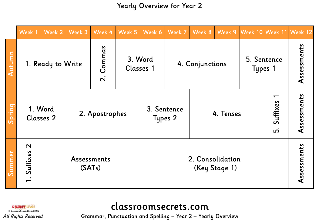Yearly Overview for Year 2

|        | Week 1                                | Week 2 | Week 3                       | Week 4                            | Week 5                      | Week 6          | Week 7                              | Week 8                            |  | Week 9   Week 10   Week 11   Week 12 |               |             |
|--------|---------------------------------------|--------|------------------------------|-----------------------------------|-----------------------------|-----------------|-------------------------------------|-----------------------------------|--|--------------------------------------|---------------|-------------|
| Autumn | 1. Ready to Write                     |        |                              | Commas<br>$\overline{\mathbf{N}}$ | 3. Word<br><b>Classes 1</b> | 4. Conjunctions |                                     |                                   |  | 5. Sentence<br>Types 1               |               | Assessments |
| Spring | 1. Word<br><b>Classes 2</b>           |        |                              | 2. Apostrophes                    |                             |                 | 3. Sentence<br>4. Tenses<br>Types 2 |                                   |  |                                      | Suffixes<br>ம | Assessments |
| Summer | $\boldsymbol{\mathsf{N}}$<br>Suffixes |        | <b>Assessments</b><br>(SATs) |                                   |                             |                 |                                     | 2. Consolidation<br>(Key Stage 1) |  |                                      | Assessments   |             |



# classroomsecrets.com

Grammar, Punctuation and Spelling – Year 2 – Yearly Overview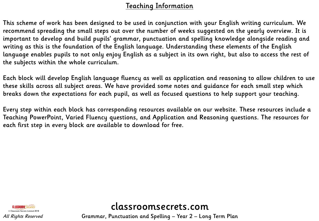#### Teaching Information

This scheme of work has been designed to be used in conjunction with your English writing curriculum. We recommend spreading the small steps out over the number of weeks suggested on the yearly overview. It is important to develop and build pupils' grammar, punctuation and spelling knowledge alongside reading and writing as this is the foundation of the English language. Understanding these elements of the English language enables pupils to not only enjoy English as a subject in its own right, but also to access the rest of the subjects within the whole curriculum.

Each block will develop English language fluency as well as application and reasoning to allow children to use these skills across all subject areas. We have provided some notes and guidance for each small step which breaks down the expectations for each pupil, as well as focused questions to help support your teaching.

Every step within each block has corresponding resources available on our website. These resources include a Teaching PowerPoint, Varied Fluency questions, and Application and Reasoning questions. The resources for each first step in every block are available to download for free.



classroomsecrets.com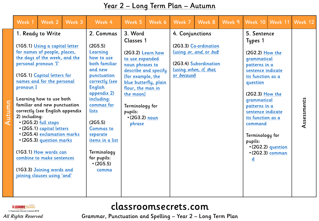#### Year 2 – Long Term Plan – Autumn

| Week 1                                                                                                                                                                                                                                                                                                                                                                                                                                                                                                                                                                   | Week 2 | Week 3 | Week 4                                                                                                                                                                                                                                                                                                    | Week 5                                                                                                                                                                                                 | Week 6                                        | Week 7                                 | Week 8                                                                                              | Week 9 |                                                                                                                                                                                                                                                                            | Week 10 Week 11                              | Week 12     |
|--------------------------------------------------------------------------------------------------------------------------------------------------------------------------------------------------------------------------------------------------------------------------------------------------------------------------------------------------------------------------------------------------------------------------------------------------------------------------------------------------------------------------------------------------------------------------|--------|--------|-----------------------------------------------------------------------------------------------------------------------------------------------------------------------------------------------------------------------------------------------------------------------------------------------------------|--------------------------------------------------------------------------------------------------------------------------------------------------------------------------------------------------------|-----------------------------------------------|----------------------------------------|-----------------------------------------------------------------------------------------------------|--------|----------------------------------------------------------------------------------------------------------------------------------------------------------------------------------------------------------------------------------------------------------------------------|----------------------------------------------|-------------|
| 1. Ready to Write<br>(1G5.1) Using a capital letter<br>for names of people, places,<br>the days of the week, and the<br>personal pronoun 'I'<br>(1G5.1) Capital letters for<br>names and for the personal<br>pronoun I<br>Learning how to use both<br>familiar and new punctuation<br>correctly (see English appendix<br>2) including:<br>· (2G5.2) full stops<br>. (2G5.1) capital letters<br>• (2G5.4) exclamation marks<br>. (2G5.3) question marks<br>(1G3.1) How words can<br>combine to make sentences<br>(1G3.3) Joining words and<br>joining clauses using 'and' |        |        | 2. Commas<br>(2G5.5)<br>Learning<br>how to use<br>both familiar<br>and new<br>punctuation<br>correctly (see<br><b>English</b><br>appendix 2)<br>including:<br>commas for<br>lists<br>(2G5.5)<br><b>Commas to</b><br>separate<br>items in a list<br>Terminology<br>for pupils:<br>$\cdot$ (2G5.5)<br>comma | 3. Word<br>Classes 1<br>(2G3.2) Learn how<br>to use expanded<br>noun phrases to<br>[for example, the<br>flour, the man in<br>the moon]<br>Terminology for<br>pupils:<br>$\cdot$ (2G3.2) noun<br>phrase | describe and specify<br>blue butterfly, plain | 4. Conjunctions<br>or <i>because</i> ) | (2G3.3) Co-ordination<br>(using or, and, or but)<br>(2G3.4) Subordination<br>(using when, if, that, |        | 5. Sentence<br>Types 1<br>(2G2.2) How the<br>grammatical<br>patterns in a<br>sentence indicate<br>its function as a<br>question<br>(2G2.3) How the<br>grammatical<br>patterns in a<br>sentence indicate<br>its function as a<br>command<br>Terminology for<br>pupils:<br>d | · (2G2.2) question<br>$\cdot$ (2G2.3) comman | Assessments |

© Classroom Secrets Limited 2018 All Rights Reserved

Autumn

### classroomsecrets.com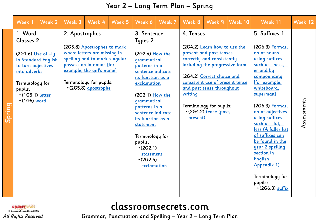#### Year 2 – Long Term Plan – Spring

|        | Week 1                                                                                                                                                                                                                                                                                                                                                                                                                  | Week 2 | Week 3 | Week 4                                                                                                                                                                                                                                                                                                                       | Week 5 | Week 6                           | Week 7                                                                                                                                                                                                                                                                     | Week 8 | Week 9                                                                                                                                                                                                                                                                                                                                                                                                                                        | Week 10     | Week 11 | Week 12 |
|--------|-------------------------------------------------------------------------------------------------------------------------------------------------------------------------------------------------------------------------------------------------------------------------------------------------------------------------------------------------------------------------------------------------------------------------|--------|--------|------------------------------------------------------------------------------------------------------------------------------------------------------------------------------------------------------------------------------------------------------------------------------------------------------------------------------|--------|----------------------------------|----------------------------------------------------------------------------------------------------------------------------------------------------------------------------------------------------------------------------------------------------------------------------|--------|-----------------------------------------------------------------------------------------------------------------------------------------------------------------------------------------------------------------------------------------------------------------------------------------------------------------------------------------------------------------------------------------------------------------------------------------------|-------------|---------|---------|
| Spring | 1. Word<br>2. Apostrophes<br>Classes 2<br>(2G5.8) Apostrophes to mark<br>where letters are missing in<br>$(2G1.6)$ Use of $-ly$<br>spelling and to mark singular<br>in Standard English<br>possession in nouns [for<br>to turn adjectives<br>example, the girl's name]<br>into adverbs<br>Terminology for pupils:<br>Terminology for<br>• (2G5.8) apostrophe<br>pupils:<br>$\cdot$ (1G5.1) letter<br>$\cdot$ (1G6) word |        |        | 3. Sentence<br>Types 2<br>(2G2.4) How the<br>grammatical<br>patterns in a<br>sentence indicate<br>its function as a<br>exclamation<br>(2G2.1) How the<br>grammatical<br>patterns in a<br>sentence indicate<br>its function as a<br>statement<br>Terminology for<br>pupils:<br>(2G2.1)<br>statement<br>(2G2.4)<br>exclamation |        | 4. Tenses<br>writing<br>present) | (2G4.2) Learn how to use the<br>present and past tenses<br>correctly and consistently<br>including the progressive form<br>(2G4.2) Correct choice and<br>consistent use of present tense<br>and past tense throughout<br>Terminology for pupils:<br>· (2G4.2) tense (past, |        | 5. Suffixes 1<br>(2G6.3) Formati<br>on of nouns<br>using suffixes<br>such as -ness, -<br>er and by<br>compounding<br>[for example,<br>whiteboard,<br>superman]<br>(2G6.3) Formati<br>on of adjectives<br>using suffixes<br>such as $-ful$ , $-$<br>less (A fuller list<br>of suffixes can<br>be found in the<br>year 2 spelling<br>section in<br><b>English</b><br><b>Appendix 1)</b><br>Terminology for<br>pupils:<br>$\cdot$ (2G6.3) suffix | Assessments |         |         |



### classroomsecrets.com